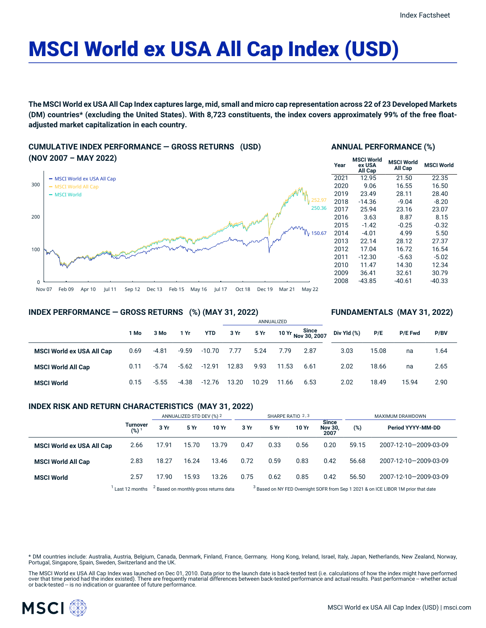# MSCI World ex USA All Cap Index (USD)

The MSCI World ex USA All Cap Index captures large, mid, small and micro cap representation across 22 of 23 Developed Markets (DM) countries\* (excluding the United States). With 8,723 constituents, the index covers approximately 99% of the free float**adjusted market capitalization in each country.**

## **CUMULATIVE INDEX PERFORMANCE — GROSS RETURNS (USD) (NOV 2007 – MAY 2022)**



## **ANNUAL PERFORMANCE (%)**

| Year | <b>MSCI World</b><br>ex USA<br>All Cap | <b>MSCI World</b><br>All Cap | <b>MSCI World</b> |  |
|------|----------------------------------------|------------------------------|-------------------|--|
| 2021 | 12.95                                  | 21.50                        | 22.35             |  |
| 2020 | 9.06                                   | 16.55                        | 16.50             |  |
| 2019 | 23.49                                  | 28.11                        | 28.40             |  |
| 2018 | $-14.36$                               | $-9.04$                      | $-8.20$           |  |
| 2017 | 25.94                                  | 23.16                        | 23.07             |  |
| 2016 | 3.63                                   | 8.87                         | 8.15              |  |
| 2015 | $-1.42$                                | $-0.25$                      | $-0.32$           |  |
| 2014 | $-4.01$                                | 4.99                         | 5.50              |  |
| 2013 | 22.14                                  | 28.12                        | 27.37             |  |
| 2012 | 17.04                                  | 16.72                        | 16.54             |  |
| 2011 | $-12.30$                               | $-5.63$                      | $-5.02$           |  |
| 2010 | 11.47                                  | 14.30                        | 12.34             |  |
| 2009 | 36.41                                  | 32.61                        | 30.79             |  |
| 2008 | $-43.85$                               | $-40.61$                     | -40.33            |  |
|      |                                        |                              |                   |  |

**FUNDAMENTALS (MAY 31, 2022)**

## **INDEX PERFORMANCE — GROSS RETURNS (%) (MAY 31, 2022)**

#### ANNUALIZED **1 Mo 3 Mo 1 Yr YTD 3 Yr 5 Yr 10 Yr Since Nov 30, 2007 MSCI World ex USA All Cap** 0.69 -4.81 -9.59 -10.70 7.77 5.24 7.79 2.87 **MSCI World All Cap** 0.11 -5.74 -5.62 -12.91 12.83 9.93 11.53 6.61 **MSCI World** 0.15 -5.55 -4.38 -12.76 13.20 10.29 11.66 6.53 **Div Yld (%) P/E P/E Fwd P/BV** 3.03 15.08 na 1.64 2.02 18.66 na 2.65 2.02 18.49 15.94 2.90

## **INDEX RISK AND RETURN CHARACTERISTICS (MAY 31, 2022)**

|                                  |                        | ANNUALIZED STD DEV (%) 2 |       | SHARPE RATIO 2,3                                 |      |      |       | MAXIMUM DRAWDOWN                       |       |                                                                                               |
|----------------------------------|------------------------|--------------------------|-------|--------------------------------------------------|------|------|-------|----------------------------------------|-------|-----------------------------------------------------------------------------------------------|
|                                  | <b>Turnover</b><br>(%) | 3 Yr                     | 5 Yr  | 10 Yr                                            | 3 Yr | 5 Yr | 10 Yr | <b>Since</b><br><b>Nov 30,</b><br>2007 | (%)   | Period YYYY-MM-DD                                                                             |
| <b>MSCI World ex USA All Cap</b> | 2.66                   | 17.91                    | 15.70 | 13.79                                            | 0.47 | 0.33 | 0.56  | 0.20                                   | 59.15 | 2007-12-10-2009-03-09                                                                         |
| <b>MSCI World All Cap</b>        | 2.83                   | 18.27                    | 16.24 | 13.46                                            | 0.72 | 0.59 | 0.83  | 0.42                                   | 56.68 | 2007-12-10-2009-03-09                                                                         |
| <b>MSCI World</b>                | 2.57                   | 17.90                    | 15.93 | 13.26                                            | 0.75 | 0.62 | 0.85  | 0.42                                   | 56.50 | 2007-12-10-2009-03-09                                                                         |
|                                  | Last 12 months         |                          |       | <sup>2</sup> Based on monthly gross returns data |      |      |       |                                        |       | <sup>3</sup> Based on NY FED Overnight SOFR from Sep 1 2021 & on ICE LIBOR 1M prior that date |

\* DM countries include: Australia, Austria, Belgium, Canada, Denmark, Finland, France, Germany, Hong Kong, Ireland, Israel, Italy, Japan, Netherlands, New Zealand, Norway, Portugal, Singapore, Spain, Sweden, Switzerland and the UK.

The MSCI World ex USA All Cap Index was launched on Dec 01, 2010. Data prior to the launch date is back-tested test (i.e. calculations of how the index might have performed over that time period had the index existed). There are frequently material differences between back-tested performance and actual results. Past performance -- whether actual or back-tested -- is no indication or guarantee of future performance.

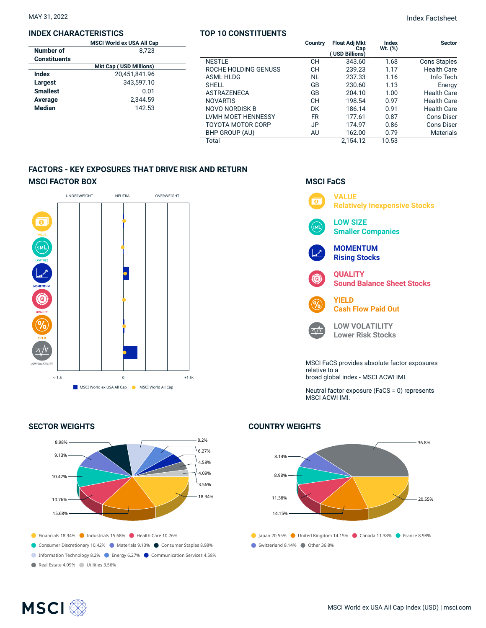### **INDEX CHARACTERISTICS**

|                     | <b>MSCI World ex USA All Cap</b> |  |  |  |  |  |
|---------------------|----------------------------------|--|--|--|--|--|
| Number of           | 8,723                            |  |  |  |  |  |
| <b>Constituents</b> |                                  |  |  |  |  |  |
|                     | <b>Mkt Cap (USD Millions)</b>    |  |  |  |  |  |
| Index               | 20,451,841.96                    |  |  |  |  |  |
| Largest             | 343.597.10                       |  |  |  |  |  |
| <b>Smallest</b>     | 0.01                             |  |  |  |  |  |
| Average             | 2.344.59                         |  |  |  |  |  |
| <b>Median</b>       | 142.53                           |  |  |  |  |  |
|                     |                                  |  |  |  |  |  |

## **TOP 10 CONSTITUENTS**

|                      | Country   | <b>Float Adj Mkt</b><br>Cap<br>(USD Billions) | Index<br>$Wt.$ $(\%)$ | <b>Sector</b>       |
|----------------------|-----------|-----------------------------------------------|-----------------------|---------------------|
| <b>NESTLE</b>        | CН        | 343.60                                        | 1.68                  | <b>Cons Staples</b> |
| ROCHE HOLDING GENUSS | CН        | 239.23                                        | 1.17                  | <b>Health Care</b>  |
| ASML HLDG            | <b>NL</b> | 237.33                                        | 1.16                  | Info Tech           |
| <b>SHELL</b>         | GB        | 230.60                                        | 1.13                  | Energy              |
| <b>ASTRAZENECA</b>   | GB        | 204.10                                        | 1.00                  | <b>Health Care</b>  |
| <b>NOVARTIS</b>      | CН        | 198.54                                        | 0.97                  | <b>Health Care</b>  |
| NOVO NORDISK B       | <b>DK</b> | 186.14                                        | 0.91                  | <b>Health Care</b>  |
| LVMH MOET HENNESSY   | <b>FR</b> | 177.61                                        | 0.87                  | Cons Discr          |
| TOYOTA MOTOR CORP    | JP        | 174.97                                        | 0.86                  | Cons Discr          |
| BHP GROUP (AU)       | AU        | 162.00                                        | 0.79                  | <b>Materials</b>    |
| Total                |           | 2.154.12                                      | 10.53                 |                     |

## **FACTORS - KEY EXPOSURES THAT DRIVE RISK AND RETURN MSCI FACTOR BOX**



## **SECTOR WEIGHTS**



## **MSCI FaCS**



Neutral factor exposure (FaCS = 0) represents MSCI ACWI IMI.

## **COUNTRY WEIGHTS**



## **MSCI**<sup>®</sup>